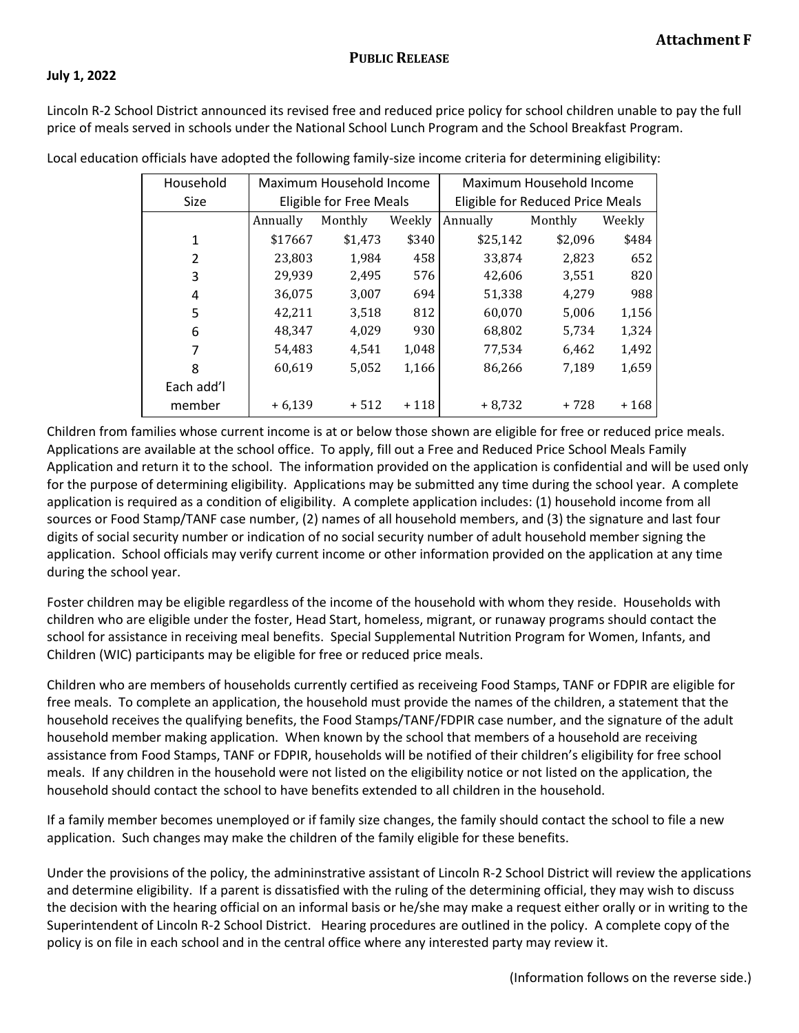## **July 1, 2022**

Lincoln R-2 School District announced its revised free and reduced price policy for school children unable to pay the full price of meals served in schools under the National School Lunch Program and the School Breakfast Program.

| Household      | Maximum Household Income       |         |        | Maximum Household Income         |         |        |
|----------------|--------------------------------|---------|--------|----------------------------------|---------|--------|
| <b>Size</b>    | <b>Eligible for Free Meals</b> |         |        | Eligible for Reduced Price Meals |         |        |
|                | Annually                       | Monthly | Weekly | Annually                         | Monthly | Weekly |
| 1              | \$17667                        | \$1,473 | \$340  | \$25,142                         | \$2,096 | \$484  |
| $\overline{2}$ | 23,803                         | 1.984   | 458    | 33.874                           | 2,823   | 652    |
| 3              | 29,939                         | 2,495   | 576    | 42,606                           | 3,551   | 820    |
| 4              | 36,075                         | 3,007   | 694    | 51,338                           | 4,279   | 988    |
| 5              | 42,211                         | 3,518   | 812    | 60,070                           | 5,006   | 1,156  |
| 6              | 48,347                         | 4,029   | 930    | 68,802                           | 5,734   | 1,324  |
| 7              | 54,483                         | 4,541   | 1,048  | 77,534                           | 6,462   | 1,492  |
| 8              | 60,619                         | 5,052   | 1,166  | 86,266                           | 7,189   | 1,659  |
| Each add'l     |                                |         |        |                                  |         |        |
| member         | $+6,139$                       | $+512$  | $+118$ | $+8.732$                         | $+728$  | $+168$ |

Local education officials have adopted the following family-size income criteria for determining eligibility:

Children from families whose current income is at or below those shown are eligible for free or reduced price meals. Applications are available at the school office. To apply, fill out a Free and Reduced Price School Meals Family Application and return it to the school. The information provided on the application is confidential and will be used only for the purpose of determining eligibility. Applications may be submitted any time during the school year. A complete application is required as a condition of eligibility. A complete application includes: (1) household income from all sources or Food Stamp/TANF case number, (2) names of all household members, and (3) the signature and last four digits of social security number or indication of no social security number of adult household member signing the application. School officials may verify current income or other information provided on the application at any time during the school year.

Foster children may be eligible regardless of the income of the household with whom they reside. Households with children who are eligible under the foster, Head Start, homeless, migrant, or runaway programs should contact the school for assistance in receiving meal benefits. Special Supplemental Nutrition Program for Women, Infants, and Children (WIC) participants may be eligible for free or reduced price meals.

Children who are members of households currently certified as receiveing Food Stamps, TANF or FDPIR are eligible for free meals. To complete an application, the household must provide the names of the children, a statement that the household receives the qualifying benefits, the Food Stamps/TANF/FDPIR case number, and the signature of the adult household member making application. When known by the school that members of a household are receiving assistance from Food Stamps, TANF or FDPIR, households will be notified of their children's eligibility for free school meals. If any children in the household were not listed on the eligibility notice or not listed on the application, the household should contact the school to have benefits extended to all children in the household.

If a family member becomes unemployed or if family size changes, the family should contact the school to file a new application. Such changes may make the children of the family eligible for these benefits.

Under the provisions of the policy, the admininstrative assistant of Lincoln R-2 School District will review the applications and determine eligibility. If a parent is dissatisfied with the ruling of the determining official, they may wish to discuss the decision with the hearing official on an informal basis or he/she may make a request either orally or in writing to the Superintendent of Lincoln R-2 School District. Hearing procedures are outlined in the policy. A complete copy of the policy is on file in each school and in the central office where any interested party may review it.